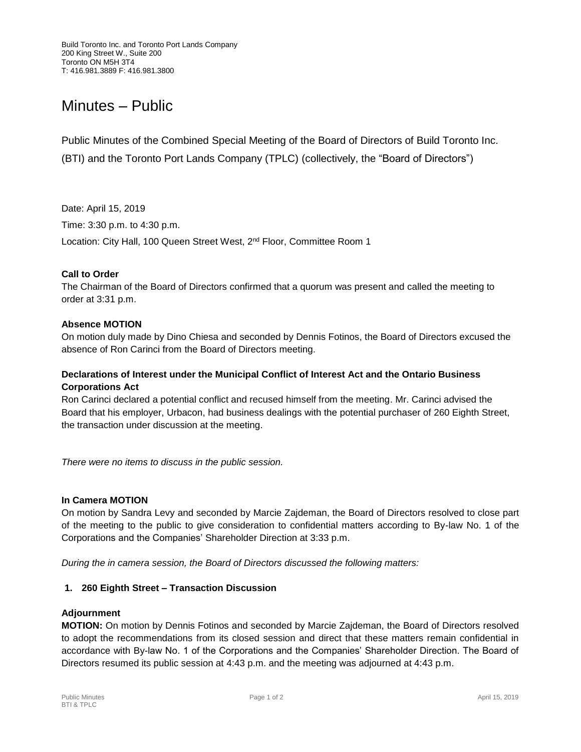# Minutes – Public

Public Minutes of the Combined Special Meeting of the Board of Directors of Build Toronto Inc. (BTI) and the Toronto Port Lands Company (TPLC) (collectively, the "Board of Directors")

Date: April 15, 2019

Time: 3:30 p.m. to 4:30 p.m.

Location: City Hall, 100 Queen Street West, 2<sup>nd</sup> Floor, Committee Room 1

# **Call to Order**

The Chairman of the Board of Directors confirmed that a quorum was present and called the meeting to order at 3:31 p.m.

# **Absence MOTION**

On motion duly made by Dino Chiesa and seconded by Dennis Fotinos, the Board of Directors excused the absence of Ron Carinci from the Board of Directors meeting.

# **Declarations of Interest under the Municipal Conflict of Interest Act and the Ontario Business Corporations Act**

Ron Carinci declared a potential conflict and recused himself from the meeting. Mr. Carinci advised the Board that his employer, Urbacon, had business dealings with the potential purchaser of 260 Eighth Street, the transaction under discussion at the meeting.

*There were no items to discuss in the public session.*

#### **In Camera MOTION**

On motion by Sandra Levy and seconded by Marcie Zajdeman, the Board of Directors resolved to close part of the meeting to the public to give consideration to confidential matters according to By-law No. 1 of the Corporations and the Companies' Shareholder Direction at 3:33 p.m.

*During the in camera session, the Board of Directors discussed the following matters:*

#### **1. 260 Eighth Street – Transaction Discussion**

#### **Adjournment**

**MOTION:** On motion by Dennis Fotinos and seconded by Marcie Zajdeman, the Board of Directors resolved to adopt the recommendations from its closed session and direct that these matters remain confidential in accordance with By-law No. 1 of the Corporations and the Companies' Shareholder Direction. The Board of Directors resumed its public session at 4:43 p.m. and the meeting was adjourned at 4:43 p.m.